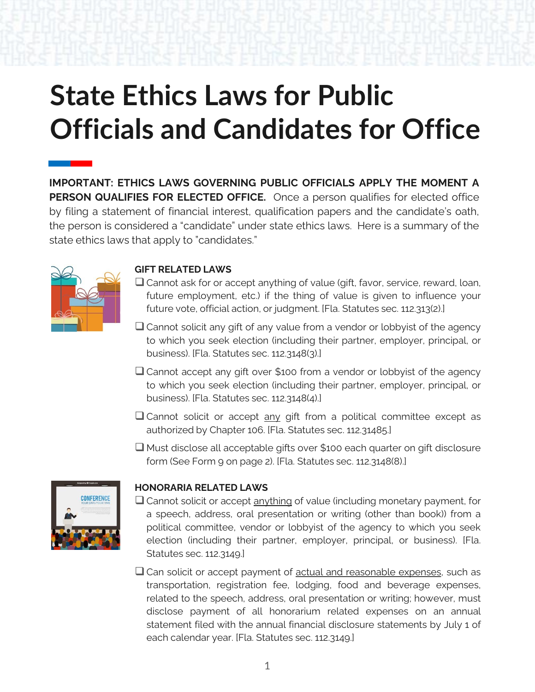## **State Ethics Laws for Public Officials and Candidates for Office**

**IMPORTANT: ETHICS LAWS GOVERNING PUBLIC OFFICIALS APPLY THE MOMENT A PERSON QUALIFIES FOR ELECTED OFFICE.** Once a person qualifies for elected office by filing a statement of financial interest, qualification papers and the candidate's oath, the person is considered a "candidate" under state ethics laws. Here is a summary of the state ethics laws that apply to "candidates."



## **GIFT RELATED LAWS**

- Cannot ask for or accept anything of value (gift, favor, service, reward, loan, future employment, etc.) if the thing of value is given to influence your future vote, official action, or judgment. [Fla. Statutes sec. 112.313(2).]
- ❑ Cannot solicit any gift of any value from a vendor or lobbyist of the agency to which you seek election (including their partner, employer, principal, or business). [Fla. Statutes sec. 112.3148(3).]
- Cannot accept any gift over \$100 from a vendor or lobbyist of the agency to which you seek election (including their partner, employer, principal, or business). [Fla. Statutes sec. 112.3148(4).]
- Cannot solicit or accept any gift from a political committee except as authorized by Chapter 106. [Fla. Statutes sec. 112.31485.]
- ❑ Must disclose all acceptable gifts over \$100 each quarter on gift disclosure form (See Form 9 on page 2). [Fla. Statutes sec. 112.3148(8).]



## **HONORARIA RELATED LAWS**

- ❑ Cannot solicit or accept anything of value (including monetary payment, for a speech, address, oral presentation or writing (other than book)) from a political committee, vendor or lobbyist of the agency to which you seek election (including their partner, employer, principal, or business). [Fla. Statutes sec. 112.3149.]
- □ Can solicit or accept payment of actual and reasonable expenses, such as transportation, registration fee, lodging, food and beverage expenses, related to the speech, address, oral presentation or writing; however, must disclose payment of all honorarium related expenses on an annual statement filed with the annual financial disclosure statements by July 1 of each calendar year. [Fla. Statutes sec. 112.3149.]